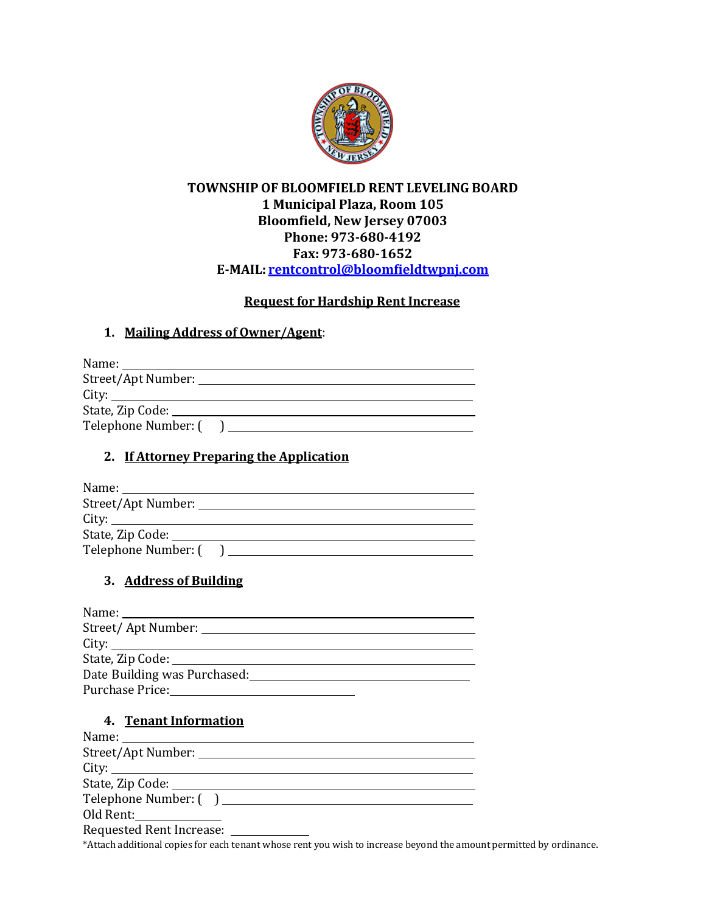

# **TOWNSHIP OF BLOOMFIELD RENT LEVELING BOARD 1 Municipal Plaza, Room 105 Bloomfield, New Jersey 07003 Phone: 973-680-4192 Fax: 973-680-1652 E-MAIL: [rentcontrol@bloomfieldtwpnj.com](mailto:rentcontrol@bloomfieldtwpnj.com)**

#### **Request for Hardship Rent Increase**

#### **1. Mailing Address of Owner/Agent**:

| State, Zip Code: National Assembly Contact Contact Contact Contact Contact Contact Contact Contact Contact Contact Contact Contact Contact Contact Contact Contact Contact Contact Contact Contact Contact Contact Contact Con |
|--------------------------------------------------------------------------------------------------------------------------------------------------------------------------------------------------------------------------------|
|                                                                                                                                                                                                                                |

## **2. If Attorney Preparing the Application**

| Street/Apt Number: ____________ |  |
|---------------------------------|--|
|                                 |  |
|                                 |  |
| Telephone Number: (             |  |

# **3. Address of Building**

| City:                                                                                                                                                                                                                          |
|--------------------------------------------------------------------------------------------------------------------------------------------------------------------------------------------------------------------------------|
|                                                                                                                                                                                                                                |
| Date Building was Purchased:                                                                                                                                                                                                   |
| Purchase Price: The Contract of the Price of the Contract of the Contract of the Contract of the Contract of the Contract of the Contract of the Contract of the Contract of the Contract of the Contract of the Contract of t |

#### **4. Tenant Information**

| Name: Name and the second state of the second state of the second state of the second state of the second state of the second state of the second state of the second state of the second state of the second state of the sec |
|--------------------------------------------------------------------------------------------------------------------------------------------------------------------------------------------------------------------------------|
|                                                                                                                                                                                                                                |
| City:                                                                                                                                                                                                                          |
|                                                                                                                                                                                                                                |
|                                                                                                                                                                                                                                |
|                                                                                                                                                                                                                                |
| Requested Rent Increase: _______                                                                                                                                                                                               |

\*Attach additional copies for each tenant whose rent you wish to increase beyond the amount permitted by ordinance.